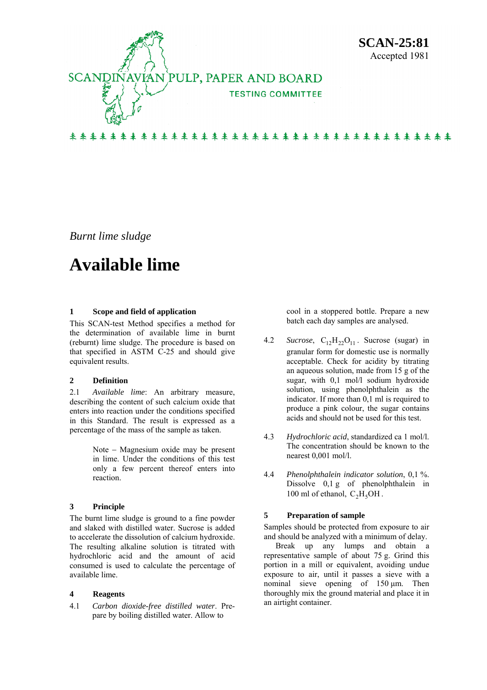

*Burnt lime sludge* 

# **Available lime**

## **1 Scope and field of application**

This SCAN-test Method specifies a method for the determination of available lime in burnt (reburnt) lime sludge. The procedure is based on that specified in ASTM C-25 and should give equivalent results.

# **2 Definition**

2.1 *Available lime*: An arbitrary measure, describing the content of such calcium oxide that enters into reaction under the conditions specified in this Standard. The result is expressed as a percentage of the mass of the sample as taken.

> Note − Magnesium oxide may be present in lime. Under the conditions of this test only a few percent thereof enters into reaction.

## **3 Principle**

The burnt lime sludge is ground to a fine powder and slaked with distilled water. Sucrose is added to accelerate the dissolution of calcium hydroxide. The resulting alkaline solution is titrated with hydrochloric acid and the amount of acid consumed is used to calculate the percentage of available lime.

## **4 Reagents**

4.1 *Carbon dioxide-free distilled water*. Prepare by boiling distilled water. Allow to

 cool in a stoppered bottle. Prepare a new batch each day samples are analysed.

- 4.2 *Sucrose*,  $C_{12}H_{22}O_{11}$ . Sucrose (sugar) in granular form for domestic use is normally acceptable. Check for acidity by titrating an aqueous solution, made from 15 g of the sugar, with 0,1 mol/l sodium hydroxide solution, using phenolphthalein as the indicator. If more than 0,1 ml is required to produce a pink colour, the sugar contains acids and should not be used for this test.
- 4.3 *Hydrochloric acid*, standardized ca 1 mol/l. The concentration should be known to the nearest 0,001 mol/l.
- 4.4 *Phenolphthalein indicator solution*, 0,1 %. Dissolve 0,1 g of phenolphthalein in 100 ml of ethanol,  $C_2H_5OH$ .

## **5 Preparation of sample**

Samples should be protected from exposure to air and should be analyzed with a minimum of delay.

Break up any lumps and obtain a representative sample of about 75 g. Grind this portion in a mill or equivalent, avoiding undue exposure to air, until it passes a sieve with a nominal sieve opening of 150 μm. Then thoroughly mix the ground material and place it in an airtight container.